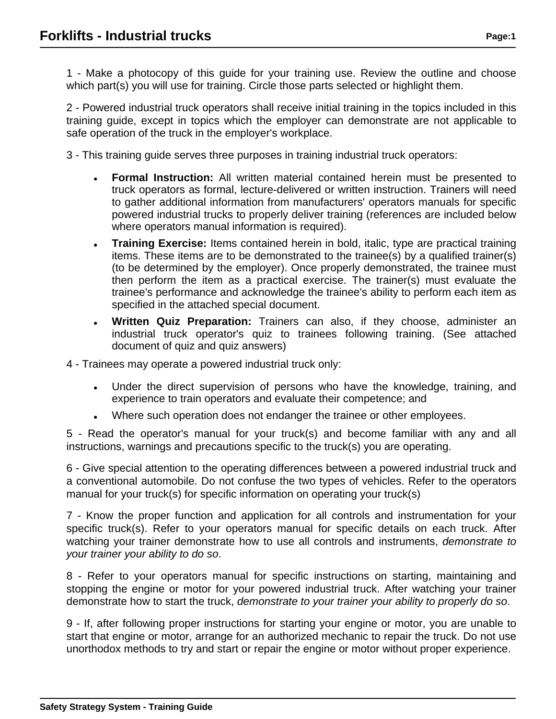1 - Make a photocopy of this guide for your training use. Review the outline and choose which part(s) you will use for training. Circle those parts selected or highlight them.

2 - Powered industrial truck operators shall receive initial training in the topics included in this training guide, except in topics which the employer can demonstrate are not applicable to safe operation of the truck in the employer's workplace.

3 - This training guide serves three purposes in training industrial truck operators:

- **Formal Instruction:** All written material contained herein must be presented to truck operators as formal, lecture-delivered or written instruction. Trainers will need to gather additional information from manufacturers' operators manuals for specific powered industrial trucks to properly deliver training (references are included below where operators manual information is required).
- **Training Exercise:** Items contained herein in bold, italic, type are practical training items. These items are to be demonstrated to the trainee(s) by a qualified trainer(s) (to be determined by the employer). Once properly demonstrated, the trainee must then perform the item as a practical exercise. The trainer(s) must evaluate the trainee's performance and acknowledge the trainee's ability to perform each item as specified in the attached special document.
- **Written Quiz Preparation:** Trainers can also, if they choose, administer an industrial truck operator's quiz to trainees following training. (See attached document of quiz and quiz answers)

4 - Trainees may operate a powered industrial truck only:

- Under the direct supervision of persons who have the knowledge, training, and experience to train operators and evaluate their competence; and
- Where such operation does not endanger the trainee or other employees.

5 - Read the operator's manual for your truck(s) and become familiar with any and all instructions, warnings and precautions specific to the truck(s) you are operating.

6 - Give special attention to the operating differences between a powered industrial truck and a conventional automobile. Do not confuse the two types of vehicles. Refer to the operators manual for your truck(s) for specific information on operating your truck(s)

7 - Know the proper function and application for all controls and instrumentation for your specific truck(s). Refer to your operators manual for specific details on each truck. After watching your trainer demonstrate how to use all controls and instruments, demonstrate to your trainer your ability to do so.

8 - Refer to your operators manual for specific instructions on starting, maintaining and stopping the engine or motor for your powered industrial truck. After watching your trainer demonstrate how to start the truck, demonstrate to your trainer your ability to properly do so.

9 - If, after following proper instructions for starting your engine or motor, you are unable to start that engine or motor, arrange for an authorized mechanic to repair the truck. Do not use unorthodox methods to try and start or repair the engine or motor without proper experience.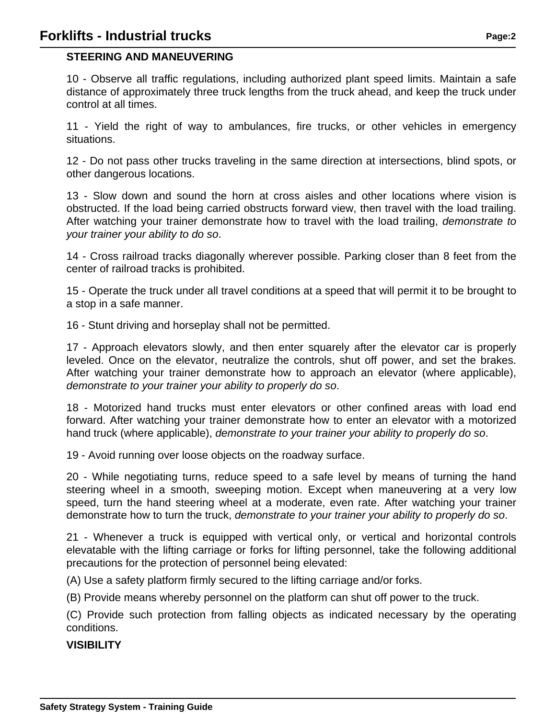## **STEERING AND MANEUVERING**

10 - Observe all traffic regulations, including authorized plant speed limits. Maintain a safe distance of approximately three truck lengths from the truck ahead, and keep the truck under control at all times.

11 - Yield the right of way to ambulances, fire trucks, or other vehicles in emergency situations.

12 - Do not pass other trucks traveling in the same direction at intersections, blind spots, or other dangerous locations.

13 - Slow down and sound the horn at cross aisles and other locations where vision is obstructed. If the load being carried obstructs forward view, then travel with the load trailing. After watching your trainer demonstrate how to travel with the load trailing, demonstrate to your trainer your ability to do so.

14 - Cross railroad tracks diagonally wherever possible. Parking closer than 8 feet from the center of railroad tracks is prohibited.

15 - Operate the truck under all travel conditions at a speed that will permit it to be brought to a stop in a safe manner.

16 - Stunt driving and horseplay shall not be permitted.

17 - Approach elevators slowly, and then enter squarely after the elevator car is properly leveled. Once on the elevator, neutralize the controls, shut off power, and set the brakes. After watching your trainer demonstrate how to approach an elevator (where applicable), demonstrate to your trainer your ability to properly do so.

18 - Motorized hand trucks must enter elevators or other confined areas with load end forward. After watching your trainer demonstrate how to enter an elevator with a motorized hand truck (where applicable), demonstrate to your trainer your ability to properly do so.

19 - Avoid running over loose objects on the roadway surface.

20 - While negotiating turns, reduce speed to a safe level by means of turning the hand steering wheel in a smooth, sweeping motion. Except when maneuvering at a very low speed, turn the hand steering wheel at a moderate, even rate. After watching your trainer demonstrate how to turn the truck, *demonstrate to your trainer your ability to properly do so.* 

21 - Whenever a truck is equipped with vertical only, or vertical and horizontal controls elevatable with the lifting carriage or forks for lifting personnel, take the following additional precautions for the protection of personnel being elevated:

(A) Use a safety platform firmly secured to the lifting carriage and/or forks.

(B) Provide means whereby personnel on the platform can shut off power to the truck.

(C) Provide such protection from falling objects as indicated necessary by the operating conditions.

### **VISIBILITY**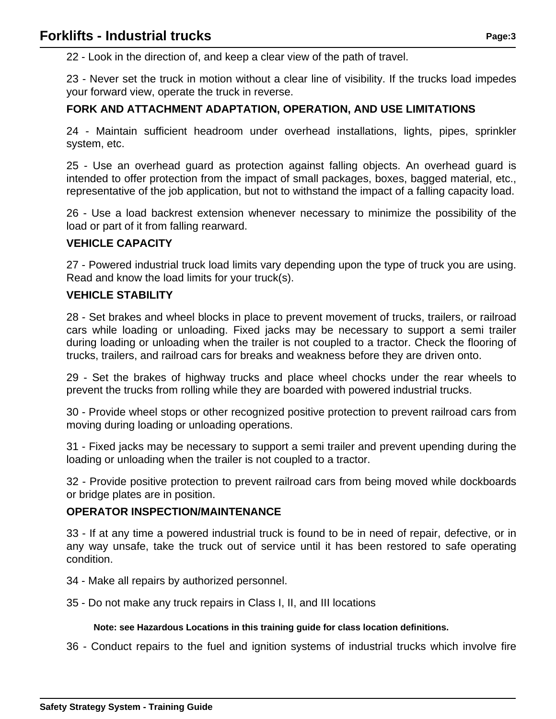22 - Look in the direction of, and keep a clear view of the path of travel.

23 - Never set the truck in motion without a clear line of visibility. If the trucks load impedes your forward view, operate the truck in reverse.

## **FORK AND ATTACHMENT ADAPTATION, OPERATION, AND USE LIMITATIONS**

24 - Maintain sufficient headroom under overhead installations, lights, pipes, sprinkler system, etc.

25 - Use an overhead guard as protection against falling objects. An overhead guard is intended to offer protection from the impact of small packages, boxes, bagged material, etc., representative of the job application, but not to withstand the impact of a falling capacity load.

26 - Use a load backrest extension whenever necessary to minimize the possibility of the load or part of it from falling rearward.

## **VEHICLE CAPACITY**

27 - Powered industrial truck load limits vary depending upon the type of truck you are using. Read and know the load limits for your truck(s).

### **VEHICLE STABILITY**

28 - Set brakes and wheel blocks in place to prevent movement of trucks, trailers, or railroad cars while loading or unloading. Fixed jacks may be necessary to support a semi trailer during loading or unloading when the trailer is not coupled to a tractor. Check the flooring of trucks, trailers, and railroad cars for breaks and weakness before they are driven onto.

29 - Set the brakes of highway trucks and place wheel chocks under the rear wheels to prevent the trucks from rolling while they are boarded with powered industrial trucks.

30 - Provide wheel stops or other recognized positive protection to prevent railroad cars from moving during loading or unloading operations.

31 - Fixed jacks may be necessary to support a semi trailer and prevent upending during the loading or unloading when the trailer is not coupled to a tractor.

32 - Provide positive protection to prevent railroad cars from being moved while dockboards or bridge plates are in position.

### **OPERATOR INSPECTION/MAINTENANCE**

33 - If at any time a powered industrial truck is found to be in need of repair, defective, or in any way unsafe, take the truck out of service until it has been restored to safe operating condition.

- 34 Make all repairs by authorized personnel.
- 35 Do not make any truck repairs in Class I, II, and III locations

#### **Note: see Hazardous Locations in this training guide for class location definitions.**

36 - Conduct repairs to the fuel and ignition systems of industrial trucks which involve fire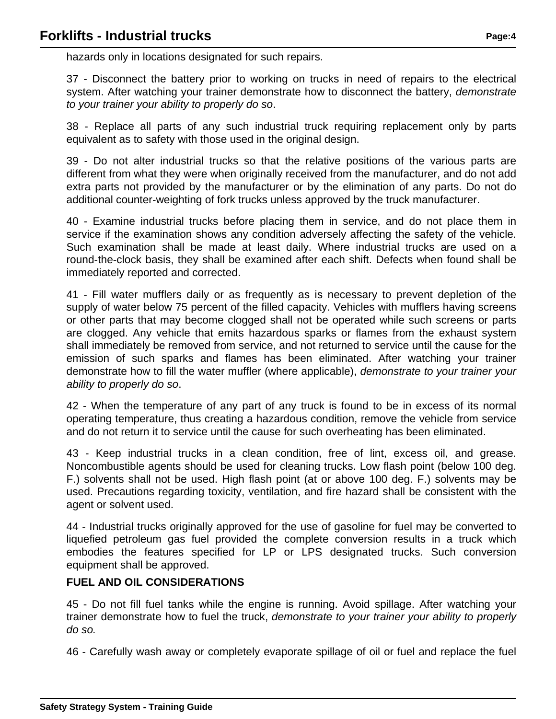hazards only in locations designated for such repairs.

37 - Disconnect the battery prior to working on trucks in need of repairs to the electrical system. After watching your trainer demonstrate how to disconnect the battery, *demonstrate* to your trainer your ability to properly do so.

38 - Replace all parts of any such industrial truck requiring replacement only by parts equivalent as to safety with those used in the original design.

39 - Do not alter industrial trucks so that the relative positions of the various parts are different from what they were when originally received from the manufacturer, and do not add extra parts not provided by the manufacturer or by the elimination of any parts. Do not do additional counter-weighting of fork trucks unless approved by the truck manufacturer.

40 - Examine industrial trucks before placing them in service, and do not place them in service if the examination shows any condition adversely affecting the safety of the vehicle. Such examination shall be made at least daily. Where industrial trucks are used on a round-the-clock basis, they shall be examined after each shift. Defects when found shall be immediately reported and corrected.

41 - Fill water mufflers daily or as frequently as is necessary to prevent depletion of the supply of water below 75 percent of the filled capacity. Vehicles with mufflers having screens or other parts that may become clogged shall not be operated while such screens or parts are clogged. Any vehicle that emits hazardous sparks or flames from the exhaust system shall immediately be removed from service, and not returned to service until the cause for the emission of such sparks and flames has been eliminated. After watching your trainer demonstrate how to fill the water muffler (where applicable), demonstrate to your trainer your ability to properly do so.

42 - When the temperature of any part of any truck is found to be in excess of its normal operating temperature, thus creating a hazardous condition, remove the vehicle from service and do not return it to service until the cause for such overheating has been eliminated.

43 - Keep industrial trucks in a clean condition, free of lint, excess oil, and grease. Noncombustible agents should be used for cleaning trucks. Low flash point (below 100 deg. F.) solvents shall not be used. High flash point (at or above 100 deg. F.) solvents may be used. Precautions regarding toxicity, ventilation, and fire hazard shall be consistent with the agent or solvent used.

44 - Industrial trucks originally approved for the use of gasoline for fuel may be converted to liquefied petroleum gas fuel provided the complete conversion results in a truck which embodies the features specified for LP or LPS designated trucks. Such conversion equipment shall be approved.

# **FUEL AND OIL CONSIDERATIONS**

45 - Do not fill fuel tanks while the engine is running. Avoid spillage. After watching your trainer demonstrate how to fuel the truck, demonstrate to your trainer your ability to properly do so.

46 - Carefully wash away or completely evaporate spillage of oil or fuel and replace the fuel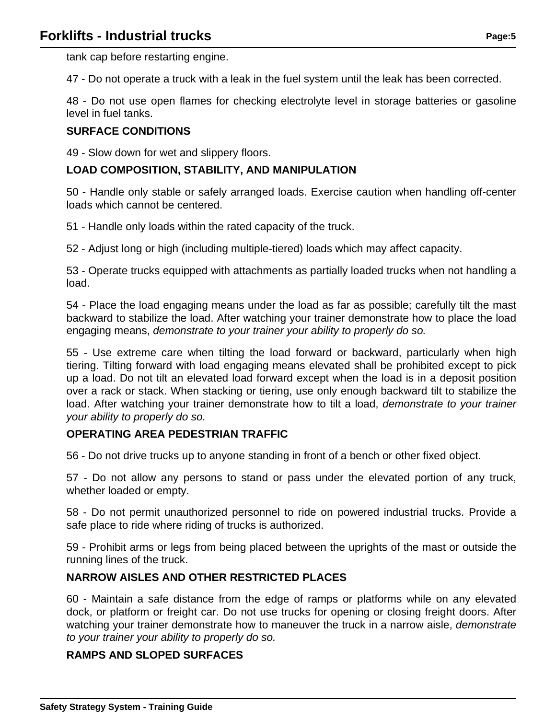tank cap before restarting engine.

47 - Do not operate a truck with a leak in the fuel system until the leak has been corrected.

48 - Do not use open flames for checking electrolyte level in storage batteries or gasoline level in fuel tanks.

### **SURFACE CONDITIONS**

49 - Slow down for wet and slippery floors.

## **LOAD COMPOSITION, STABILITY, AND MANIPULATION**

50 - Handle only stable or safely arranged loads. Exercise caution when handling off-center loads which cannot be centered.

51 - Handle only loads within the rated capacity of the truck.

52 - Adjust long or high (including multiple-tiered) loads which may affect capacity.

53 - Operate trucks equipped with attachments as partially loaded trucks when not handling a load.

54 - Place the load engaging means under the load as far as possible; carefully tilt the mast backward to stabilize the load. After watching your trainer demonstrate how to place the load engaging means, demonstrate to your trainer your ability to properly do so.

55 - Use extreme care when tilting the load forward or backward, particularly when high tiering. Tilting forward with load engaging means elevated shall be prohibited except to pick up a load. Do not tilt an elevated load forward except when the load is in a deposit position over a rack or stack. When stacking or tiering, use only enough backward tilt to stabilize the load. After watching your trainer demonstrate how to tilt a load, demonstrate to your trainer your ability to properly do so.

### **OPERATING AREA PEDESTRIAN TRAFFIC**

56 - Do not drive trucks up to anyone standing in front of a bench or other fixed object.

57 - Do not allow any persons to stand or pass under the elevated portion of any truck, whether loaded or empty.

58 - Do not permit unauthorized personnel to ride on powered industrial trucks. Provide a safe place to ride where riding of trucks is authorized.

59 - Prohibit arms or legs from being placed between the uprights of the mast or outside the running lines of the truck.

### **NARROW AISLES AND OTHER RESTRICTED PLACES**

60 - Maintain a safe distance from the edge of ramps or platforms while on any elevated dock, or platform or freight car. Do not use trucks for opening or closing freight doors. After watching your trainer demonstrate how to maneuver the truck in a narrow aisle, *demonstrate* to your trainer your ability to properly do so.

# **RAMPS AND SLOPED SURFACES**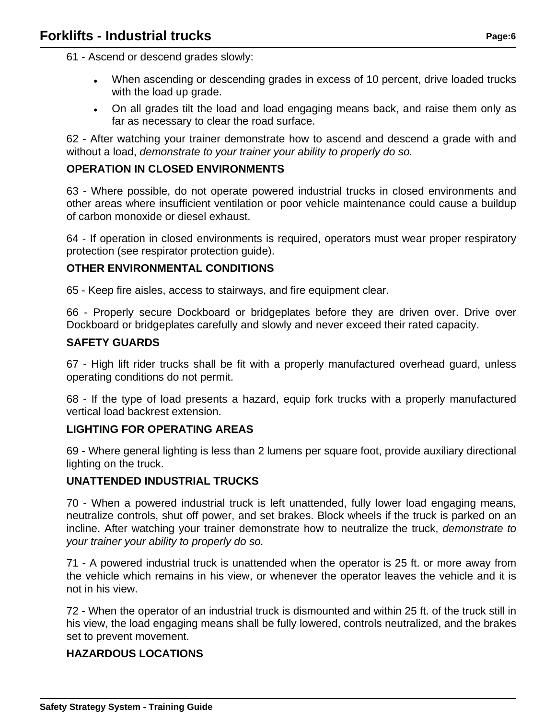61 - Ascend or descend grades slowly:

- When ascending or descending grades in excess of 10 percent, drive loaded trucks with the load up grade.
- On all grades tilt the load and load engaging means back, and raise them only as far as necessary to clear the road surface.

62 - After watching your trainer demonstrate how to ascend and descend a grade with and without a load, demonstrate to your trainer your ability to properly do so.

## **OPERATION IN CLOSED ENVIRONMENTS**

63 - Where possible, do not operate powered industrial trucks in closed environments and other areas where insufficient ventilation or poor vehicle maintenance could cause a buildup of carbon monoxide or diesel exhaust.

64 - If operation in closed environments is required, operators must wear proper respiratory protection (see respirator protection guide).

### **OTHER ENVIRONMENTAL CONDITIONS**

65 - Keep fire aisles, access to stairways, and fire equipment clear.

66 - Properly secure Dockboard or bridgeplates before they are driven over. Drive over Dockboard or bridgeplates carefully and slowly and never exceed their rated capacity.

### **SAFETY GUARDS**

67 - High lift rider trucks shall be fit with a properly manufactured overhead guard, unless operating conditions do not permit.

68 - If the type of load presents a hazard, equip fork trucks with a properly manufactured vertical load backrest extension.

### **LIGHTING FOR OPERATING AREAS**

69 - Where general lighting is less than 2 lumens per square foot, provide auxiliary directional lighting on the truck.

### **UNATTENDED INDUSTRIAL TRUCKS**

70 - When a powered industrial truck is left unattended, fully lower load engaging means, neutralize controls, shut off power, and set brakes. Block wheels if the truck is parked on an incline. After watching your trainer demonstrate how to neutralize the truck, demonstrate to your trainer your ability to properly do so.

71 - A powered industrial truck is unattended when the operator is 25 ft. or more away from the vehicle which remains in his view, or whenever the operator leaves the vehicle and it is not in his view.

72 - When the operator of an industrial truck is dismounted and within 25 ft. of the truck still in his view, the load engaging means shall be fully lowered, controls neutralized, and the brakes set to prevent movement.

# **HAZARDOUS LOCATIONS**